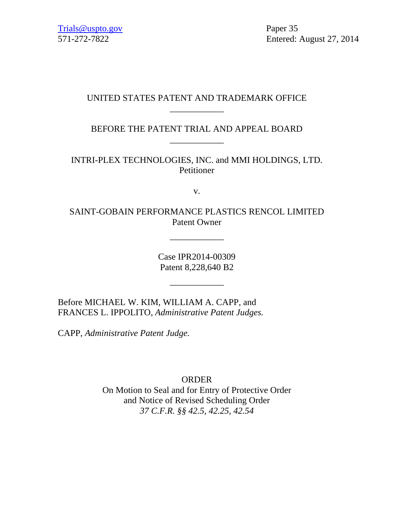# UNITED STATES PATENT AND TRADEMARK OFFICE \_\_\_\_\_\_\_\_\_\_\_\_

BEFORE THE PATENT TRIAL AND APPEAL BOARD \_\_\_\_\_\_\_\_\_\_\_\_

INTRI-PLEX TECHNOLOGIES, INC. and MMI HOLDINGS, LTD. Petitioner

v.

SAINT-GOBAIN PERFORMANCE PLASTICS RENCOL LIMITED Patent Owner

\_\_\_\_\_\_\_\_\_\_\_\_

Case IPR2014-00309 Patent 8,228,640 B2

\_\_\_\_\_\_\_\_\_\_\_\_

Before MICHAEL W. KIM, WILLIAM A. CAPP, and FRANCES L. IPPOLITO, *Administrative Patent Judges.*

CAPP, *Administrative Patent Judge.*

ORDER On Motion to Seal and for Entry of Protective Order and Notice of Revised Scheduling Order *37 C.F.R. §§ 42.5, 42.25, 42.54*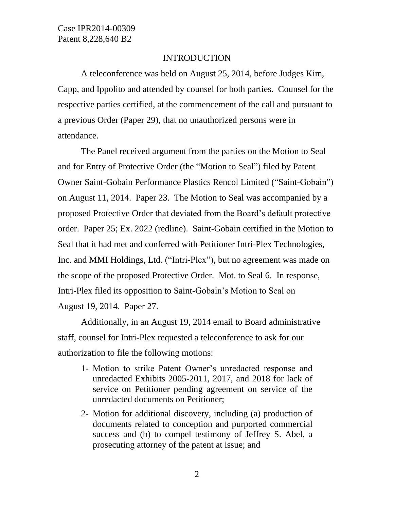### INTRODUCTION

A teleconference was held on August 25, 2014, before Judges Kim, Capp, and Ippolito and attended by counsel for both parties. Counsel for the respective parties certified, at the commencement of the call and pursuant to a previous Order (Paper 29), that no unauthorized persons were in attendance.

The Panel received argument from the parties on the Motion to Seal and for Entry of Protective Order (the "Motion to Seal") filed by Patent Owner Saint-Gobain Performance Plastics Rencol Limited ("Saint-Gobain") on August 11, 2014. Paper 23. The Motion to Seal was accompanied by a proposed Protective Order that deviated from the Board's default protective order. Paper 25; Ex. 2022 (redline). Saint-Gobain certified in the Motion to Seal that it had met and conferred with Petitioner Intri-Plex Technologies, Inc. and MMI Holdings, Ltd. ("Intri-Plex"), but no agreement was made on the scope of the proposed Protective Order. Mot. to Seal 6. In response, Intri-Plex filed its opposition to Saint-Gobain's Motion to Seal on August 19, 2014. Paper 27.

Additionally, in an August 19, 2014 email to Board administrative staff, counsel for Intri-Plex requested a teleconference to ask for our authorization to file the following motions:

- 1- Motion to strike Patent Owner's unredacted response and unredacted Exhibits 2005-2011, 2017, and 2018 for lack of service on Petitioner pending agreement on service of the unredacted documents on Petitioner;
- 2- Motion for additional discovery, including (a) production of documents related to conception and purported commercial success and (b) to compel testimony of Jeffrey S. Abel, a prosecuting attorney of the patent at issue; and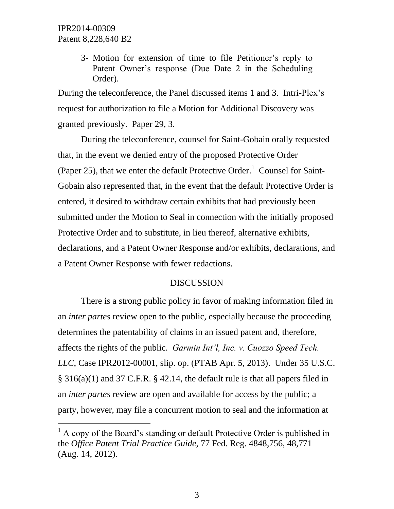l

3- Motion for extension of time to file Petitioner's reply to Patent Owner's response (Due Date 2 in the Scheduling Order).

During the teleconference, the Panel discussed items 1 and 3. Intri-Plex's request for authorization to file a Motion for Additional Discovery was granted previously. Paper 29, 3.

During the teleconference, counsel for Saint-Gobain orally requested that, in the event we denied entry of the proposed Protective Order (Paper 25), that we enter the default Protective Order.<sup>1</sup> Counsel for Saint-Gobain also represented that, in the event that the default Protective Order is entered, it desired to withdraw certain exhibits that had previously been submitted under the Motion to Seal in connection with the initially proposed Protective Order and to substitute, in lieu thereof, alternative exhibits, declarations, and a Patent Owner Response and/or exhibits, declarations, and a Patent Owner Response with fewer redactions.

### **DISCUSSION**

There is a strong public policy in favor of making information filed in an *inter partes* review open to the public, especially because the proceeding determines the patentability of claims in an issued patent and, therefore, affects the rights of the public. *Garmin Int'l, Inc. v. Cuozzo Speed Tech. LLC*, Case IPR2012-00001, slip. op. (PTAB Apr. 5, 2013). Under 35 U.S.C. § 316(a)(1) and 37 C.F.R. § 42.14, the default rule is that all papers filed in an *inter partes* review are open and available for access by the public; a party, however, may file a concurrent motion to seal and the information at

 $<sup>1</sup>$  A copy of the Board's standing or default Protective Order is published in</sup> the *Office Patent Trial Practice Guide*, 77 Fed. Reg. 4848,756, 48,771 (Aug. 14, 2012).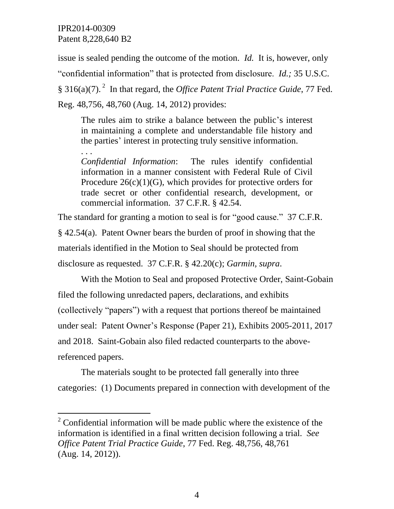l

issue is sealed pending the outcome of the motion. *Id.* It is, however, only "confidential information" that is protected from disclosure. *Id.;* 35 U.S.C. § 316(a)(7).<sup>2</sup> In that regard, the *Office Patent Trial Practice Guide*, 77 Fed. Reg. 48,756, 48,760 (Aug. 14, 2012) provides:

The rules aim to strike a balance between the public's interest in maintaining a complete and understandable file history and the parties' interest in protecting truly sensitive information.

. . . *Confidential Information*: The rules identify confidential information in a manner consistent with Federal Rule of Civil Procedure  $26(c)(1)(G)$ , which provides for protective orders for trade secret or other confidential research, development, or commercial information. 37 C.F.R. § 42.54.

The standard for granting a motion to seal is for "good cause." 37 C.F.R. § 42.54(a). Patent Owner bears the burden of proof in showing that the materials identified in the Motion to Seal should be protected from disclosure as requested. 37 C.F.R. § 42.20(c); *Garmin, supra*.

With the Motion to Seal and proposed Protective Order, Saint-Gobain filed the following unredacted papers, declarations, and exhibits (collectively "papers") with a request that portions thereof be maintained under seal: Patent Owner's Response (Paper 21), Exhibits 2005-2011, 2017 and 2018. Saint-Gobain also filed redacted counterparts to the abovereferenced papers.

The materials sought to be protected fall generally into three categories: (1) Documents prepared in connection with development of the

 $2^{\circ}$  Confidential information will be made public where the existence of the information is identified in a final written decision following a trial. *See Office Patent Trial Practice Guide*, 77 Fed. Reg. 48,756, 48,761 (Aug. 14, 2012)).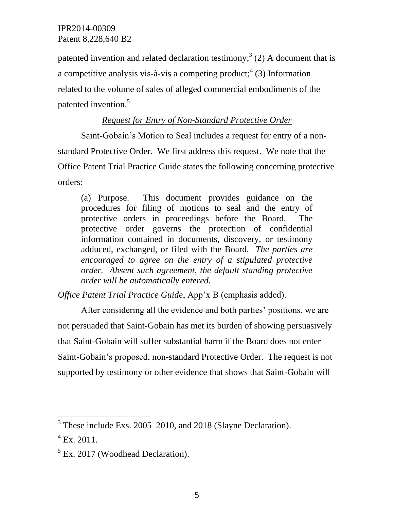patented invention and related declaration testimony;<sup>3</sup> (2) A document that is a competitive analysis vis-à-vis a competing product;<sup>4</sup> (3) Information related to the volume of sales of alleged commercial embodiments of the patented invention.<sup>5</sup>

## *Request for Entry of Non-Standard Protective Order*

Saint-Gobain's Motion to Seal includes a request for entry of a nonstandard Protective Order. We first address this request. We note that the Office Patent Trial Practice Guide states the following concerning protective orders:

(a) Purpose. This document provides guidance on the procedures for filing of motions to seal and the entry of protective orders in proceedings before the Board. The protective order governs the protection of confidential information contained in documents, discovery, or testimony adduced, exchanged, or filed with the Board. *The parties are encouraged to agree on the entry of a stipulated protective order. Absent such agreement, the default standing protective order will be automatically entered.*

*Office Patent Trial Practice Guide*, App'x B (emphasis added).

After considering all the evidence and both parties' positions, we are not persuaded that Saint-Gobain has met its burden of showing persuasively that Saint-Gobain will suffer substantial harm if the Board does not enter Saint-Gobain's proposed, non-standard Protective Order. The request is not supported by testimony or other evidence that shows that Saint-Gobain will

l

 $3$  These include Exs. 2005–2010, and 2018 (Slayne Declaration).

 $^{4}$  Ex. 2011.

 $<sup>5</sup>$  Ex. 2017 (Woodhead Declaration).</sup>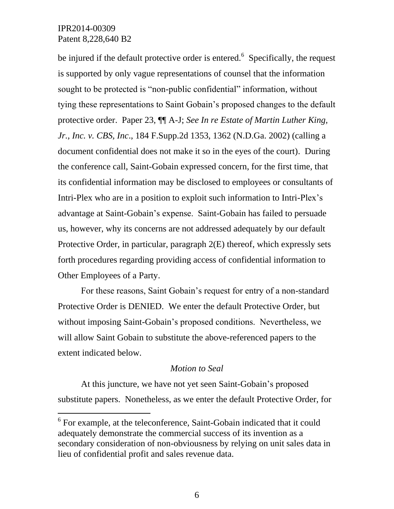l

be injured if the default protective order is entered.  $6$  Specifically, the request is supported by only vague representations of counsel that the information sought to be protected is "non-public confidential" information, without tying these representations to Saint Gobain's proposed changes to the default protective order. Paper 23, ¶¶ A-J; *See In re Estate of Martin Luther King, Jr., Inc. v. CBS, Inc*., 184 F.Supp.2d 1353, 1362 (N.D.Ga. 2002) (calling a document confidential does not make it so in the eyes of the court). During the conference call, Saint-Gobain expressed concern, for the first time, that its confidential information may be disclosed to employees or consultants of Intri-Plex who are in a position to exploit such information to Intri-Plex's advantage at Saint-Gobain's expense. Saint-Gobain has failed to persuade us, however, why its concerns are not addressed adequately by our default Protective Order, in particular, paragraph 2(E) thereof, which expressly sets forth procedures regarding providing access of confidential information to Other Employees of a Party.

For these reasons, Saint Gobain's request for entry of a non-standard Protective Order is DENIED. We enter the default Protective Order, but without imposing Saint-Gobain's proposed conditions. Nevertheless, we will allow Saint Gobain to substitute the above-referenced papers to the extent indicated below.

#### *Motion to Seal*

At this juncture, we have not yet seen Saint-Gobain's proposed substitute papers. Nonetheless, as we enter the default Protective Order, for

<sup>&</sup>lt;sup>6</sup> For example, at the teleconference, Saint-Gobain indicated that it could adequately demonstrate the commercial success of its invention as a secondary consideration of non-obviousness by relying on unit sales data in lieu of confidential profit and sales revenue data.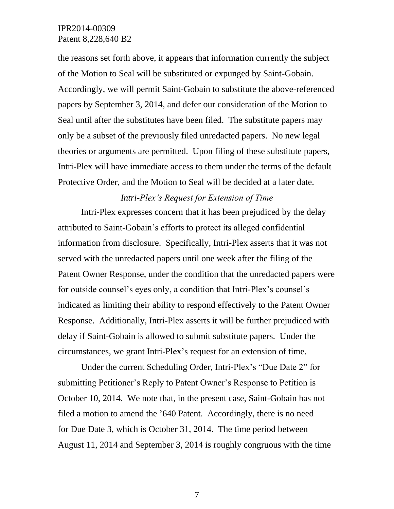the reasons set forth above, it appears that information currently the subject of the Motion to Seal will be substituted or expunged by Saint-Gobain. Accordingly, we will permit Saint-Gobain to substitute the above-referenced papers by September 3, 2014, and defer our consideration of the Motion to Seal until after the substitutes have been filed. The substitute papers may only be a subset of the previously filed unredacted papers. No new legal theories or arguments are permitted. Upon filing of these substitute papers, Intri-Plex will have immediate access to them under the terms of the default Protective Order, and the Motion to Seal will be decided at a later date.

## *Intri-Plex's Request for Extension of Time*

Intri-Plex expresses concern that it has been prejudiced by the delay attributed to Saint-Gobain's efforts to protect its alleged confidential information from disclosure. Specifically, Intri-Plex asserts that it was not served with the unredacted papers until one week after the filing of the Patent Owner Response, under the condition that the unredacted papers were for outside counsel's eyes only, a condition that Intri-Plex's counsel's indicated as limiting their ability to respond effectively to the Patent Owner Response. Additionally, Intri-Plex asserts it will be further prejudiced with delay if Saint-Gobain is allowed to submit substitute papers. Under the circumstances, we grant Intri-Plex's request for an extension of time.

Under the current Scheduling Order, Intri-Plex's "Due Date 2" for submitting Petitioner's Reply to Patent Owner's Response to Petition is October 10, 2014. We note that, in the present case, Saint-Gobain has not filed a motion to amend the '640 Patent. Accordingly, there is no need for Due Date 3, which is October 31, 2014. The time period between August 11, 2014 and September 3, 2014 is roughly congruous with the time

7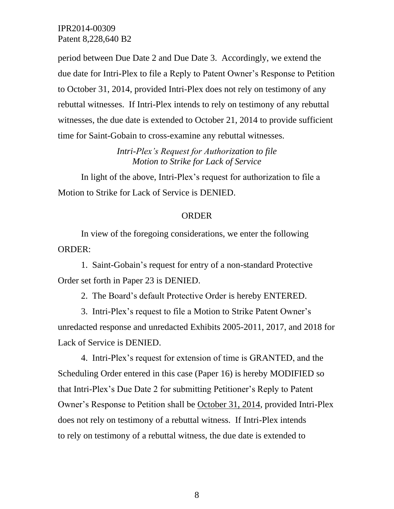period between Due Date 2 and Due Date 3. Accordingly, we extend the due date for Intri-Plex to file a Reply to Patent Owner's Response to Petition to October 31, 2014, provided Intri-Plex does not rely on testimony of any rebuttal witnesses. If Intri-Plex intends to rely on testimony of any rebuttal witnesses, the due date is extended to October 21, 2014 to provide sufficient time for Saint-Gobain to cross-examine any rebuttal witnesses.

> *Intri-Plex's Request for Authorization to file Motion to Strike for Lack of Service*

In light of the above, Intri-Plex's request for authorization to file a Motion to Strike for Lack of Service is DENIED.

#### ORDER

In view of the foregoing considerations, we enter the following ORDER:

1. Saint-Gobain's request for entry of a non-standard Protective Order set forth in Paper 23 is DENIED.

2. The Board's default Protective Order is hereby ENTERED.

3. Intri-Plex's request to file a Motion to Strike Patent Owner's unredacted response and unredacted Exhibits 2005-2011, 2017, and 2018 for Lack of Service is DENIED.

4. Intri-Plex's request for extension of time is GRANTED, and the Scheduling Order entered in this case (Paper 16) is hereby MODIFIED so that Intri-Plex's Due Date 2 for submitting Petitioner's Reply to Patent Owner's Response to Petition shall be October 31, 2014, provided Intri-Plex does not rely on testimony of a rebuttal witness. If Intri-Plex intends to rely on testimony of a rebuttal witness, the due date is extended to

8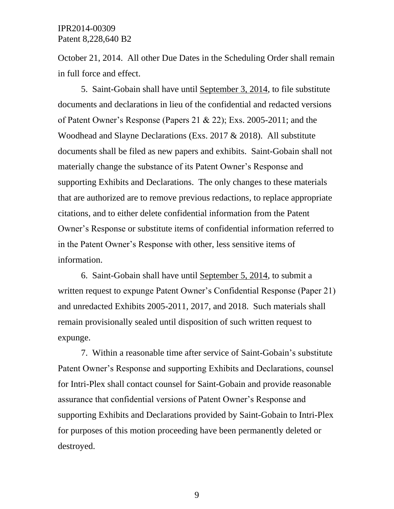October 21, 2014. All other Due Dates in the Scheduling Order shall remain in full force and effect.

5. Saint-Gobain shall have until September 3, 2014, to file substitute documents and declarations in lieu of the confidential and redacted versions of Patent Owner's Response (Papers 21  $& 22$ ); Exs. 2005-2011; and the Woodhead and Slayne Declarations (Exs. 2017 & 2018). All substitute documents shall be filed as new papers and exhibits. Saint-Gobain shall not materially change the substance of its Patent Owner's Response and supporting Exhibits and Declarations. The only changes to these materials that are authorized are to remove previous redactions, to replace appropriate citations, and to either delete confidential information from the Patent Owner's Response or substitute items of confidential information referred to in the Patent Owner's Response with other, less sensitive items of information.

6. Saint-Gobain shall have until September 5, 2014, to submit a written request to expunge Patent Owner's Confidential Response (Paper 21) and unredacted Exhibits 2005-2011, 2017, and 2018. Such materials shall remain provisionally sealed until disposition of such written request to expunge.

7. Within a reasonable time after service of Saint-Gobain's substitute Patent Owner's Response and supporting Exhibits and Declarations, counsel for Intri-Plex shall contact counsel for Saint-Gobain and provide reasonable assurance that confidential versions of Patent Owner's Response and supporting Exhibits and Declarations provided by Saint-Gobain to Intri-Plex for purposes of this motion proceeding have been permanently deleted or destroyed.

9